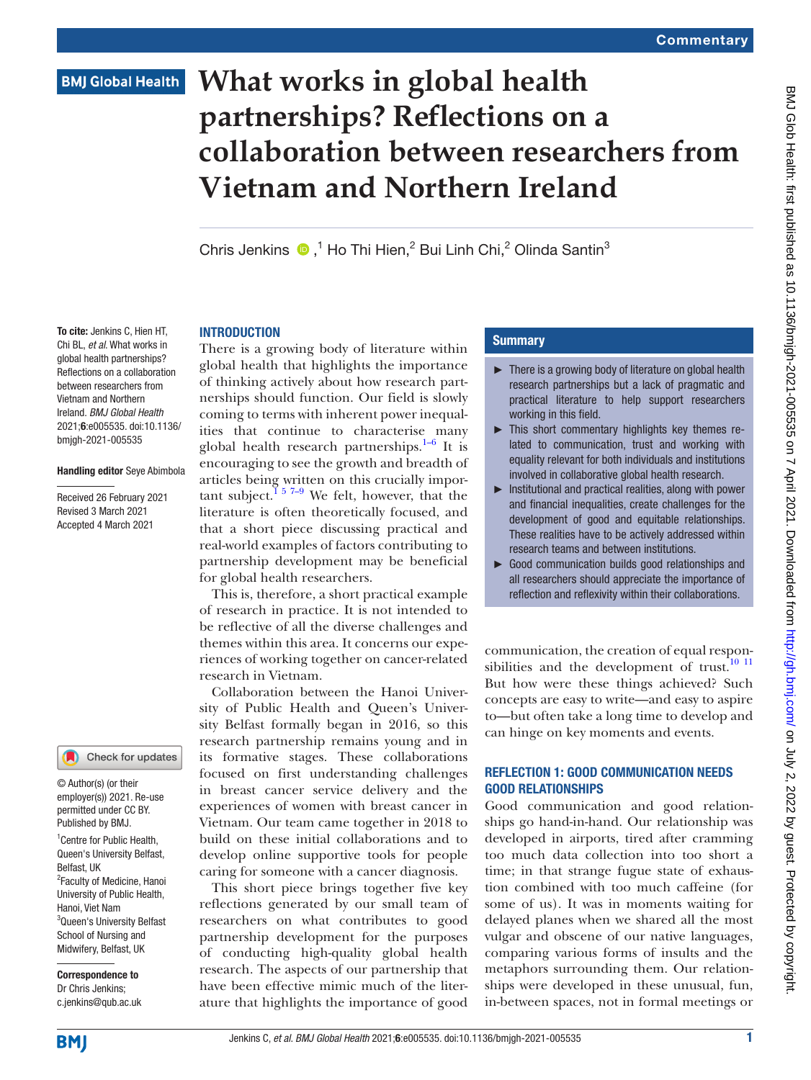# **BMJ Global Health**

# **What works in global health partnerships? Reflections on a collaboration between researchers from Vietnam and Northern Ireland**

Chris Jenkins  $\bullet$ ,<sup>1</sup> Ho Thi Hien,<sup>2</sup> Bui Linh Chi,<sup>2</sup> Olinda Santin<sup>3</sup>

#### **INTRODUCTION**

To cite: Jenkins C, Hien HT, Chi BL, *et al*. What works in global health partnerships? Reflections on a collaboration between researchers from Vietnam and Northern Ireland. *BMJ Global Health* 2021;6:e005535. doi:10.1136/ bmjgh-2021-005535

#### Handling editor Seye Abimbola

Received 26 February 2021 Revised 3 March 2021 Accepted 4 March 2021

#### Check for updates

© Author(s) (or their employer(s)) 2021. Re-use permitted under CC BY. Published by BMJ.

<sup>1</sup> Centre for Public Health, Queen's University Belfast, Belfast, UK <sup>2</sup> Faculty of Medicine, Hanoi University of Public Health, Hanoi, Viet Nam <sup>3</sup>Queen's University Belfast School of Nursing and Midwifery, Belfast, UK

Correspondence to Dr Chris Jenkins; c.jenkins@qub.ac.uk There is a growing body of literature within global health that highlights the importance of thinking actively about how research partnerships should function. Our field is slowly coming to terms with inherent power inequalities that continue to characterise many global health research partnerships.<sup>1–6</sup> It is encouraging to see the growth and breadth of articles being written on this crucially impor-tant subject.<sup>[1 5 7–9](#page-2-0)</sup> We felt, however, that the literature is often theoretically focused, and that a short piece discussing practical and real-world examples of factors contributing to partnership development may be beneficial for global health researchers.

This is, therefore, a short practical example of research in practice. It is not intended to be reflective of all the diverse challenges and themes within this area. It concerns our experiences of working together on cancer-related research in Vietnam.

Collaboration between the Hanoi University of Public Health and Queen's University Belfast formally began in 2016, so this research partnership remains young and in its formative stages. These collaborations focused on first understanding challenges in breast cancer service delivery and the experiences of women with breast cancer in Vietnam. Our team came together in 2018 to build on these initial collaborations and to develop online supportive tools for people caring for someone with a cancer diagnosis.

This short piece brings together five key reflections generated by our small team of researchers on what contributes to good partnership development for the purposes of conducting high-quality global health research. The aspects of our partnership that have been effective mimic much of the literature that highlights the importance of good

## **Summary**

- ► There is a growing body of literature on global health research partnerships but a lack of pragmatic and practical literature to help support researchers working in this field.
- ► This short commentary highlights key themes related to communication, trust and working with equality relevant for both individuals and institutions involved in collaborative global health research.
- ► Institutional and practical realities, along with power and financial inequalities, create challenges for the development of good and equitable relationships. These realities have to be actively addressed within research teams and between institutions.
- ► Good communication builds good relationships and all researchers should appreciate the importance of reflection and reflexivity within their collaborations.

communication, the creation of equal respon-sibilities and the development of trust.<sup>[10 11](#page-2-1)</sup> But how were these things achieved? Such concepts are easy to write—and easy to aspire to—but often take a long time to develop and can hinge on key moments and events.

## REFLECTION 1: GOOD COMMUNICATION NEEDS GOOD RELATIONSHIPS

Good communication and good relationships go hand-in-hand. Our relationship was developed in airports, tired after cramming too much data collection into too short a time; in that strange fugue state of exhaustion combined with too much caffeine (for some of us). It was in moments waiting for delayed planes when we shared all the most vulgar and obscene of our native languages, comparing various forms of insults and the metaphors surrounding them. Our relationships were developed in these unusual, fun, in-between spaces, not in formal meetings or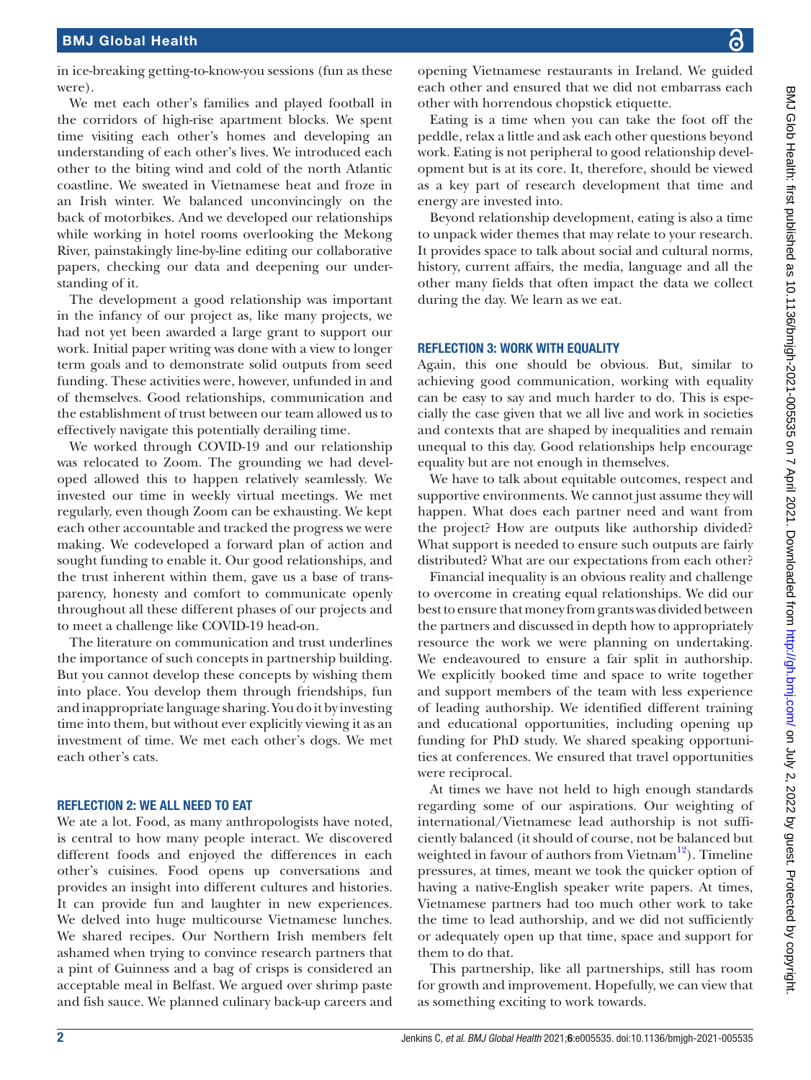in ice-breaking getting-to-know-you sessions (fun as these were).

We met each other's families and played football in the corridors of high-rise apartment blocks. We spent time visiting each other's homes and developing an understanding of each other's lives. We introduced each other to the biting wind and cold of the north Atlantic coastline. We sweated in Vietnamese heat and froze in an Irish winter. We balanced unconvincingly on the back of motorbikes. And we developed our relationships while working in hotel rooms overlooking the Mekong River, painstakingly line-by-line editing our collaborative papers, checking our data and deepening our understanding of it.

The development a good relationship was important in the infancy of our project as, like many projects, we had not yet been awarded a large grant to support our work. Initial paper writing was done with a view to longer term goals and to demonstrate solid outputs from seed funding. These activities were, however, unfunded in and of themselves. Good relationships, communication and the establishment of trust between our team allowed us to effectively navigate this potentially derailing time.

We worked through COVID-19 and our relationship was relocated to Zoom. The grounding we had developed allowed this to happen relatively seamlessly. We invested our time in weekly virtual meetings. We met regularly, even though Zoom can be exhausting. We kept each other accountable and tracked the progress we were making. We codeveloped a forward plan of action and sought funding to enable it. Our good relationships, and the trust inherent within them, gave us a base of transparency, honesty and comfort to communicate openly throughout all these different phases of our projects and to meet a challenge like COVID-19 head-on.

The literature on communication and trust underlines the importance of such concepts in partnership building. But you cannot develop these concepts by wishing them into place. You develop them through friendships, fun and inappropriate language sharing. You do it by investing time into them, but without ever explicitly viewing it as an investment of time. We met each other's dogs. We met each other's cats.

#### REFLECTION 2: WE ALL NEED TO EAT

We ate a lot. Food, as many anthropologists have noted, is central to how many people interact. We discovered different foods and enjoyed the differences in each other's cuisines. Food opens up conversations and provides an insight into different cultures and histories. It can provide fun and laughter in new experiences. We delved into huge multicourse Vietnamese lunches. We shared recipes. Our Northern Irish members felt ashamed when trying to convince research partners that a pint of Guinness and a bag of crisps is considered an acceptable meal in Belfast. We argued over shrimp paste and fish sauce. We planned culinary back-up careers and

opening Vietnamese restaurants in Ireland. We guided each other and ensured that we did not embarrass each other with horrendous chopstick etiquette.

Eating is a time when you can take the foot off the peddle, relax a little and ask each other questions beyond work. Eating is not peripheral to good relationship development but is at its core. It, therefore, should be viewed as a key part of research development that time and energy are invested into.

Beyond relationship development, eating is also a time to unpack wider themes that may relate to your research. It provides space to talk about social and cultural norms, history, current affairs, the media, language and all the other many fields that often impact the data we collect during the day. We learn as we eat.

#### REFLECTION 3: WORK WITH EQUALITY

Again, this one should be obvious. But, similar to achieving good communication, working with equality can be easy to say and much harder to do. This is especially the case given that we all live and work in societies and contexts that are shaped by inequalities and remain unequal to this day. Good relationships help encourage equality but are not enough in themselves.

We have to talk about equitable outcomes, respect and supportive environments. We cannot just assume they will happen. What does each partner need and want from the project? How are outputs like authorship divided? What support is needed to ensure such outputs are fairly distributed? What are our expectations from each other?

Financial inequality is an obvious reality and challenge to overcome in creating equal relationships. We did our best to ensure that money from grants was divided between the partners and discussed in depth how to appropriately resource the work we were planning on undertaking. We endeavoured to ensure a fair split in authorship. We explicitly booked time and space to write together and support members of the team with less experience of leading authorship. We identified different training and educational opportunities, including opening up funding for PhD study. We shared speaking opportunities at conferences. We ensured that travel opportunities were reciprocal.

At times we have not held to high enough standards regarding some of our aspirations. Our weighting of international/Vietnamese lead authorship is not sufficiently balanced (it should of course, not be balanced but weighted in favour of authors from Vietnam<sup>[12](#page-3-0)</sup>). Timeline pressures, at times, meant we took the quicker option of having a native-English speaker write papers. At times, Vietnamese partners had too much other work to take the time to lead authorship, and we did not sufficiently or adequately open up that time, space and support for them to do that.

This partnership, like all partnerships, still has room for growth and improvement. Hopefully, we can view that as something exciting to work towards.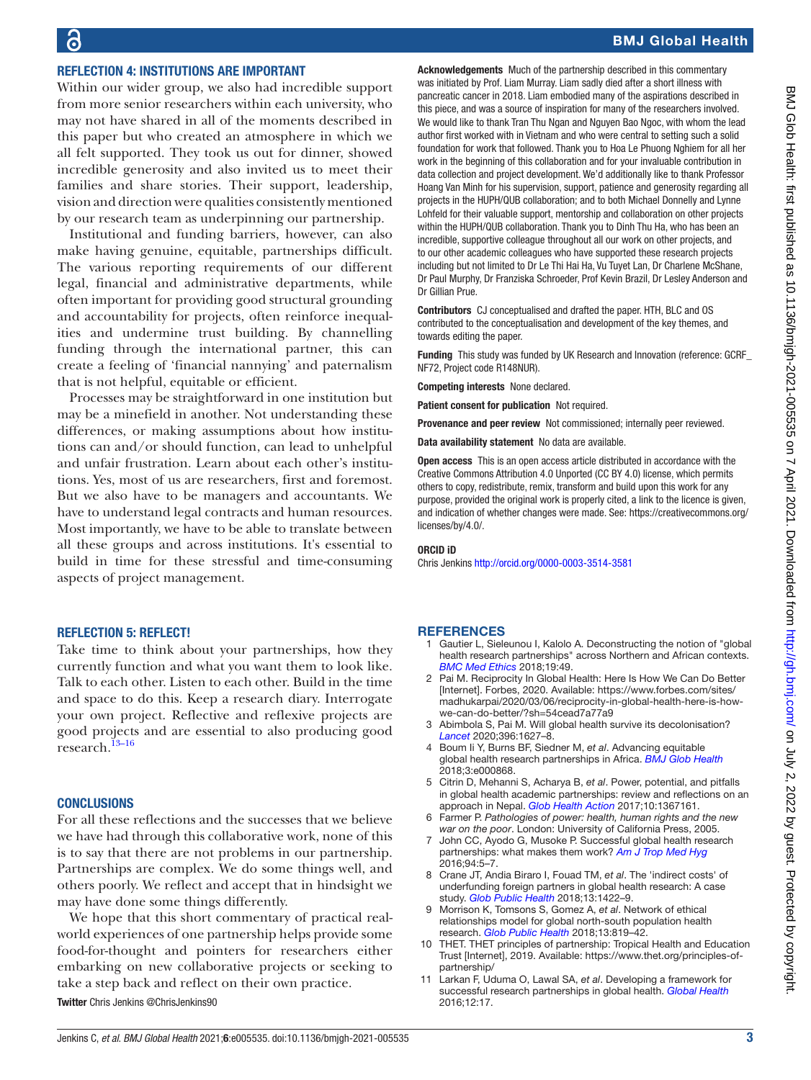## BMJ Global Health

# REFLECTION 4: INSTITUTIONS ARE IMPORTANT

Within our wider group, we also had incredible support from more senior researchers within each university, who may not have shared in all of the moments described in this paper but who created an atmosphere in which we all felt supported. They took us out for dinner, showed incredible generosity and also invited us to meet their families and share stories. Their support, leadership, vision and direction were qualities consistently mentioned by our research team as underpinning our partnership.

Institutional and funding barriers, however, can also make having genuine, equitable, partnerships difficult. The various reporting requirements of our different legal, financial and administrative departments, while often important for providing good structural grounding and accountability for projects, often reinforce inequalities and undermine trust building. By channelling funding through the international partner, this can create a feeling of 'financial nannying' and paternalism that is not helpful, equitable or efficient.

Processes may be straightforward in one institution but may be a minefield in another. Not understanding these differences, or making assumptions about how institutions can and/or should function, can lead to unhelpful and unfair frustration. Learn about each other's institutions. Yes, most of us are researchers, first and foremost. But we also have to be managers and accountants. We have to understand legal contracts and human resources. Most importantly, we have to be able to translate between all these groups and across institutions. It's essential to build in time for these stressful and time-consuming aspects of project management.

### REFLECTION 5: REFLECT!

Take time to think about your partnerships, how they currently function and what you want them to look like. Talk to each other. Listen to each other. Build in the time and space to do this. Keep a research diary. Interrogate your own project. Reflective and reflexive projects are good projects and are essential to also producing good research.[13–16](#page-3-1)

#### **CONCLUSIONS**

For all these reflections and the successes that we believe we have had through this collaborative work, none of this is to say that there are not problems in our partnership. Partnerships are complex. We do some things well, and others poorly. We reflect and accept that in hindsight we may have done some things differently.

We hope that this short commentary of practical realworld experiences of one partnership helps provide some food-for-thought and pointers for researchers either embarking on new collaborative projects or seeking to take a step back and reflect on their own practice. Twitter Chris Jenkins [@ChrisJenkins90](https://twitter.com/ChrisJenkins90)

Acknowledgements Much of the partnership described in this commentary was initiated by Prof. Liam Murray. Liam sadly died after a short illness with pancreatic cancer in 2018. Liam embodied many of the aspirations described in this piece, and was a source of inspiration for many of the researchers involved. We would like to thank Tran Thu Ngan and Nguyen Bao Ngoc, with whom the lead author first worked with in Vietnam and who were central to setting such a solid foundation for work that followed. Thank you to Hoa Le Phuong Nghiem for all her work in the beginning of this collaboration and for your invaluable contribution in data collection and project development. We'd additionally like to thank Professor Hoang Van Minh for his supervision, support, patience and generosity regarding all projects in the HUPH/QUB collaboration; and to both Michael Donnelly and Lynne Lohfeld for their valuable support, mentorship and collaboration on other projects within the HUPH/QUB collaboration. Thank you to Dinh Thu Ha, who has been an incredible, supportive colleague throughout all our work on other projects, and to our other academic colleagues who have supported these research projects including but not limited to Dr Le Thi Hai Ha, Vu Tuyet Lan, Dr Charlene McShane, Dr Paul Murphy, Dr Franziska Schroeder, Prof Kevin Brazil, Dr Lesley Anderson and Dr Gillian Prue.

Contributors CJ conceptualised and drafted the paper. HTH, BLC and OS contributed to the conceptualisation and development of the key themes, and towards editing the paper.

Funding This study was funded by UK Research and Innovation (reference: GCRF\_ NF72, Project code R148NUR).

Competing interests None declared.

Patient consent for publication Not required.

Provenance and peer review Not commissioned; internally peer reviewed.

Data availability statement No data are available.

Open access This is an open access article distributed in accordance with the Creative Commons Attribution 4.0 Unported (CC BY 4.0) license, which permits others to copy, redistribute, remix, transform and build upon this work for any purpose, provided the original work is properly cited, a link to the licence is given, and indication of whether changes were made. See: [https://creativecommons.org/](https://creativecommons.org/licenses/by/4.0/) [licenses/by/4.0/](https://creativecommons.org/licenses/by/4.0/).

#### ORCID iD

Chris Jenkins <http://orcid.org/0000-0003-3514-3581>

#### **REFERENCES**

- <span id="page-2-0"></span>1 Gautier L, Sieleunou I, Kalolo A. Deconstructing the notion of "global health research partnerships" across Northern and African contexts. *[BMC Med Ethics](http://dx.doi.org/10.1186/s12910-018-0280-7)* 2018;19:49.
- 2 Pai M. Reciprocity In Global Health: Here Is How We Can Do Better [Internet]. Forbes, 2020. Available: [https://www.forbes.com/sites/](https://www.forbes.com/sites/madhukarpai/2020/03/06/reciprocity-in-global-health-here-is-how-we-can-do-better/?sh=54cead7a77a9) [madhukarpai/2020/03/06/reciprocity-in-global-health-here-is-how](https://www.forbes.com/sites/madhukarpai/2020/03/06/reciprocity-in-global-health-here-is-how-we-can-do-better/?sh=54cead7a77a9)[we-can-do-better/?sh=54cead7a77a9](https://www.forbes.com/sites/madhukarpai/2020/03/06/reciprocity-in-global-health-here-is-how-we-can-do-better/?sh=54cead7a77a9)
- 3 Abimbola S, Pai M. Will global health survive its decolonisation? *[Lancet](http://dx.doi.org/10.1016/S0140-6736(20)32417-X)* 2020;396:1627–8.
- 4 Boum Ii Y, Burns BF, Siedner M, *et al*. Advancing equitable global health research partnerships in Africa. *[BMJ Glob Health](http://dx.doi.org/10.1136/bmjgh-2018-000868)* 2018;3:e000868.
- 5 Citrin D, Mehanni S, Acharya B, *et al*. Power, potential, and pitfalls in global health academic partnerships: review and reflections on an approach in Nepal. *[Glob Health Action](http://dx.doi.org/10.1080/16549716.2017.1367161)* 2017;10:1367161.
- 6 Farmer P. *Pathologies of power: health, human rights and the new war on the poor*. London: University of California Press, 2005.
- 7 John CC, Ayodo G, Musoke P. Successful global health research partnerships: what makes them work? *[Am J Trop Med Hyg](http://dx.doi.org/10.4269/ajtmh.15-0611)* 2016;94:5–7.
- 8 Crane JT, Andia Biraro I, Fouad TM, *et al*. The 'indirect costs' of underfunding foreign partners in global health research: A case study. *[Glob Public Health](http://dx.doi.org/10.1080/17441692.2017.1372504)* 2018;13:1422–9.
- 9 Morrison K, Tomsons S, Gomez A, *et al*. Network of ethical relationships model for global north-south population health research. *[Glob Public Health](http://dx.doi.org/10.1080/17441692.2016.1276948)* 2018;13:819–42.
- <span id="page-2-1"></span>10 THET. THET principles of partnership: Tropical Health and Education Trust [Internet], 2019. Available: [https://www.thet.org/principles-of](https://www.thet.org/principles-of-partnership/)[partnership/](https://www.thet.org/principles-of-partnership/)
- 11 Larkan F, Uduma O, Lawal SA, *et al*. Developing a framework for successful research partnerships in global health. *[Global Health](http://dx.doi.org/10.1186/s12992-016-0152-1)* 2016;12:17.